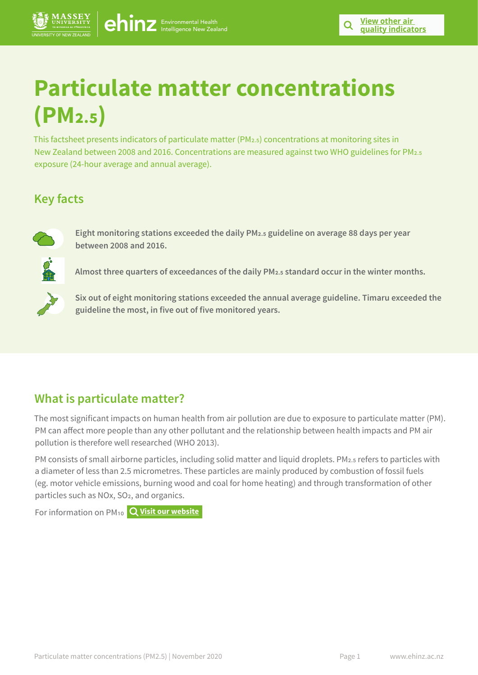# **Particulate matter concentrations (PM2.5)**

This factsheet presents indicators of particulate matter (PM2.5) concentrations at monitoring sites in New Zealand between 2008 and 2016. Concentrations are measured against two WHO guidelines for PM2.5 exposure (24-hour average and annual average).

# **Key facts**



**Eight monitoring stations exceeded the daily PM2.5 guideline on average 88 days per year between 2008 and 2016.** 

**Almost three quarters of exceedances of the daily PM2.5 standard occur in the winter months.**



**Six out of eight monitoring stations exceeded the annual average guideline. Timaru exceeded the guideline the most, in five out of five monitored years.**

# **What is particulate matter?**

The most significant impacts on human health from air pollution are due to exposure to particulate matter (PM). PM can affect more people than any other pollutant and the relationship between health impacts and PM air pollution is therefore well researched (WHO 2013).

PM consists of small airborne particles, including solid matter and liquid droplets. PM<sub>2.5</sub> refers to particles with a diameter of less than 2.5 micrometres. These particles are mainly produced by combustion of fossil fuels (eg. motor vehicle emissions, burning wood and coal for home heating) and through transformation of other particles such as NOx, SO2, and organics.

For information on PM10 **[Visit our website](https://www.ehinz.ac.nz/indicators/air-quality/particulate-matter/)**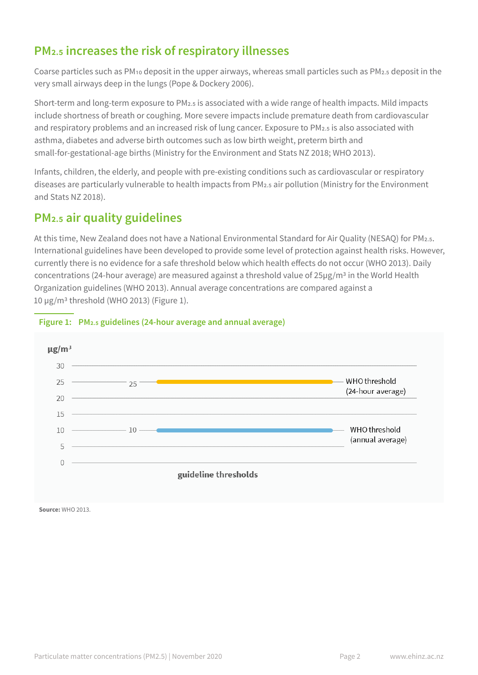# **PM2.5 increases the risk of respiratory illnesses**

Coarse particles such as PM10 deposit in the upper airways, whereas small particles such as PM2.5 deposit in the very small airways deep in the lungs (Pope & Dockery 2006).

Short-term and long-term exposure to PM2.5 is associated with a wide range of health impacts. Mild impacts include shortness of breath or coughing. More severe impacts include premature death from cardiovascular and respiratory problems and an increased risk of lung cancer. Exposure to PM2.5 is also associated with asthma, diabetes and adverse birth outcomes such as low birth weight, preterm birth and small-for-gestational-age births (Ministry for the Environment and Stats NZ 2018; WHO 2013).

Infants, children, the elderly, and people with pre-existing conditions such as cardiovascular or respiratory diseases are particularly vulnerable to health impacts from PM2.5 air pollution (Ministry for the Environment and Stats NZ 2018).

# **PM2.5 air quality guidelines**

At this time, New Zealand does not have a National Environmental Standard for Air Quality (NESAQ) for PM2.5. International guidelines have been developed to provide some level of protection against health risks. However, currently there is no evidence for a safe threshold below which health effects do not occur (WHO 2013). Daily concentrations (24-hour average) are measured against a threshold value of 25µg/m3 in the World Health Organization guidelines (WHO 2013). Annual average concentrations are compared against a 10 µg/m3 threshold (WHO 2013) (Figure 1).



#### **Figure 1: PM2.5 guidelines (24-hour average and annual average)**

**Source:** WHO 2013.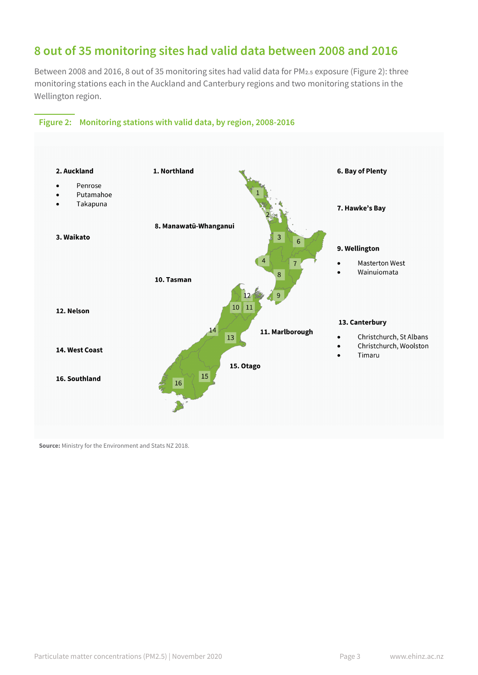### **8 out of 35 monitoring sites had valid data between 2008 and 2016**

Between 2008 and 2016, 8 out of 35 monitoring sites had valid data for PM2.5 exposure (Figure 2): three monitoring stations each in the Auckland and Canterbury regions and two monitoring stations in the Wellington region.



#### **Figure 2: Monitoring stations with valid data, by region, 2008-2016**

**Source:** Ministry for the Environment and Stats NZ 2018.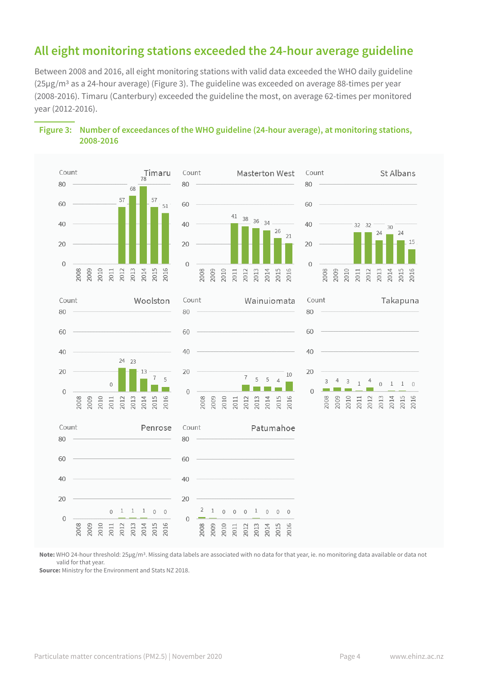# **All eight monitoring stations exceeded the 24-hour average guideline**

Between 2008 and 2016, all eight monitoring stations with valid data exceeded the WHO daily guideline (25µg/m3 as a 24-hour average) (Figure 3). The guideline was exceeded on average 88-times per year (2008-2016). Timaru (Canterbury) exceeded the guideline the most, on average 62-times per monitored year (2012-2016).





**Note:** WHO 24-hour threshold: 25µg/m3. Missing data labels are associated with no data for that year, ie. no monitoring data available or data not valid for that year.

**Source:** Ministry for the Environment and Stats NZ 2018.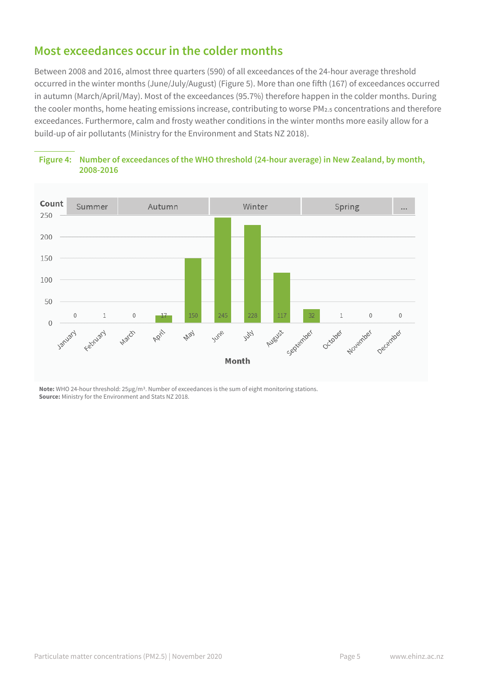### **Most exceedances occur in the colder months**

Between 2008 and 2016, almost three quarters (590) of all exceedances of the 24-hour average threshold occurred in the winter months (June/July/August) (Figure 5). More than one fifth (167) of exceedances occurred in autumn (March/April/May). Most of the exceedances (95.7%) therefore happen in the colder months. During the cooler months, home heating emissions increase, contributing to worse PM2.5 concentrations and therefore exceedances. Furthermore, calm and frosty weather conditions in the winter months more easily allow for a build-up of air pollutants (Ministry for the Environment and Stats NZ 2018).





**Note:** WHO 24-hour threshold: 25µg/m3. Number of exceedances is the sum of eight monitoring stations. **Source:** Ministry for the Environment and Stats NZ 2018.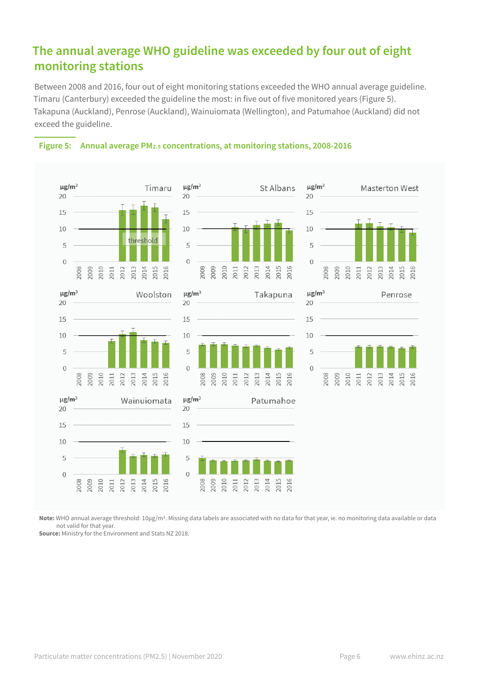# **The annual average WHO guideline was exceeded by four out of eight monitoring stations**

Between 2008 and 2016, four out of eight monitoring stations exceeded the WHO annual average guideline. Timaru (Canterbury) exceeded the guideline the most: in five out of five monitored years (Figure 5). Takapuna (Auckland), Penrose (Auckland), Wainuiomata (Wellington), and Patumahoe (Auckland) did not exceed the guideline.



#### **Figure 5: Annual average PM2.5 concentrations, at monitoring stations, 2008-2016**

**Note:** WHO annual average threshold: 10µg/m3. Missing data labels are associated with no data for that year, ie. no monitoring data available or data not valid for that year.

**Source:** Ministry for the Environment and Stats NZ 2018.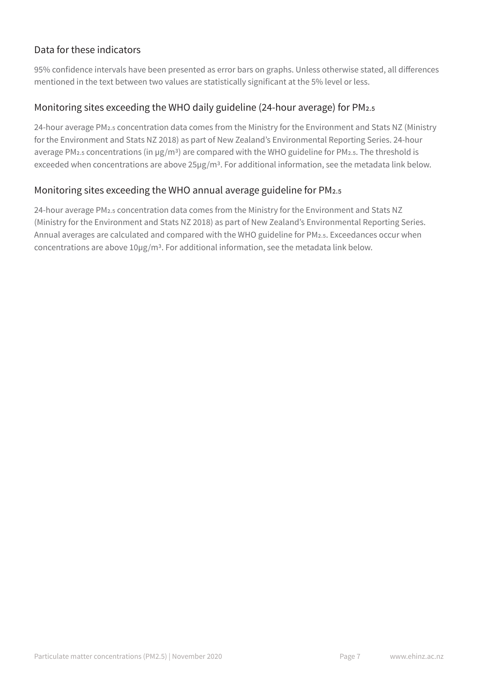### Data for these indicators

95% confidence intervals have been presented as error bars on graphs. Unless otherwise stated, all differences mentioned in the text between two values are statistically significant at the 5% level or less.

### Monitoring sites exceeding the WHO daily guideline (24-hour average) for PM2.5

24-hour average PM2.5 concentration data comes from the Ministry for the Environment and Stats NZ (Ministry for the Environment and Stats NZ 2018) as part of New Zealand's Environmental Reporting Series. 24-hour average PM<sub>2.5</sub> concentrations (in µg/m<sup>3</sup>) are compared with the WHO guideline for PM<sub>2.5</sub>. The threshold is exceeded when concentrations are above 25µg/m3. For additional information, see the metadata link below.

#### Monitoring sites exceeding the WHO annual average guideline for PM<sub>2.5</sub>

24-hour average PM2.5 concentration data comes from the Ministry for the Environment and Stats NZ (Ministry for the Environment and Stats NZ 2018) as part of New Zealand's Environmental Reporting Series. Annual averages are calculated and compared with the WHO guideline for PM2.5. Exceedances occur when concentrations are above 10µg/m3. For additional information, see the metadata link below.